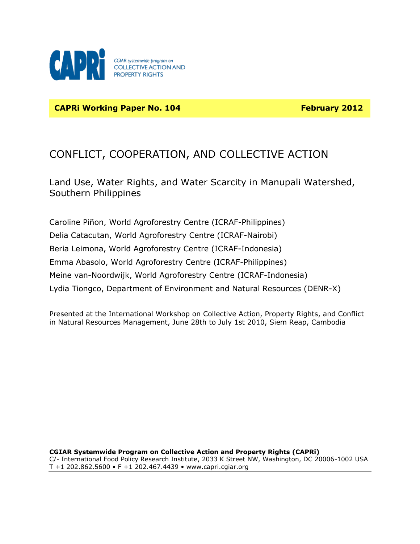

**CAPRi Working Paper No. 104 February 2012**

# CONFLICT, COOPERATION, AND COLLECTIVE ACTION

Land Use, Water Rights, and Water Scarcity in Manupali Watershed, Southern Philippines

Caroline Piñon, World Agroforestry Centre (ICRAF-Philippines) Delia Catacutan, World Agroforestry Centre (ICRAF-Nairobi) Beria Leimona, World Agroforestry Centre (ICRAF-Indonesia) Emma Abasolo, World Agroforestry Centre (ICRAF-Philippines) Meine van-Noordwijk, World Agroforestry Centre (ICRAF-Indonesia) Lydia Tiongco, Department of Environment and Natural Resources (DENR-X)

Presented at the International Workshop on Collective Action, Property Rights, and Conflict in Natural Resources Management, June 28th to July 1st 2010, Siem Reap, Cambodia

**CGIAR Systemwide Program on Collective Action and Property Rights (CAPRi)** C/- International Food Policy Research Institute, 2033 K Street NW, Washington, DC 20006-1002 USA T +1 202.862.5600 • F +1 202.467.4439 • [www.capri.cgiar.org](http://www.capri.cgiar.org/)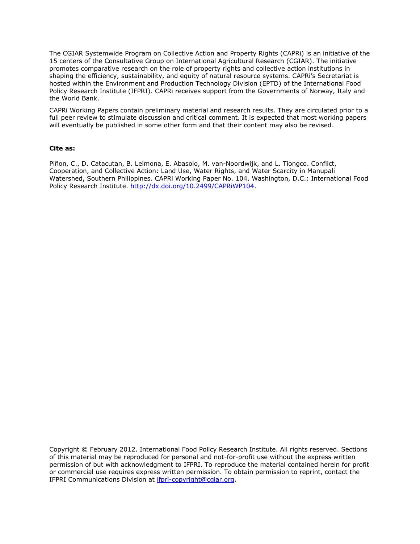The CGIAR Systemwide Program on Collective Action and Property Rights (CAPRi) is an initiative of the 15 centers of the Consultative Group on International Agricultural Research (CGIAR). The initiative promotes comparative research on the role of property rights and collective action institutions in shaping the efficiency, sustainability, and equity of natural resource systems. CAPRi's Secretariat is hosted within the Environment and Production Technology Division (EPTD) of the International Food Policy Research Institute (IFPRI). CAPRi receives support from the Governments of Norway, Italy and the World Bank.

CAPRi Working Papers contain preliminary material and research results. They are circulated prior to a full peer review to stimulate discussion and critical comment. It is expected that most working papers will eventually be published in some other form and that their content may also be revised.

#### **Cite as:**

Piñon, C., D. Catacutan, B. Leimona, E. Abasolo, M. van-Noordwijk, and L. Tiongco. Conflict, Cooperation, and Collective Action: Land Use, Water Rights, and Water Scarcity in Manupali Watershed, Southern Philippines. CAPRi Working Paper No. 104. Washington, D.C.: International Food Policy Research Institute. [http://dx.doi.org/10.2499/CAPRiWP104.](http://dx.doi.org/10.2499/CAPRiWP104)

Copyright © February 2012. International Food Policy Research Institute. All rights reserved. Sections of this material may be reproduced for personal and not-for-profit use without the express written permission of but with acknowledgment to IFPRI. To reproduce the material contained herein for profit or commercial use requires express written permission. To obtain permission to reprint, contact the IFPRI Communications Division at [ifpri-copyright@cgiar.org.](mailto:ifpri-copyright@cgiar.org)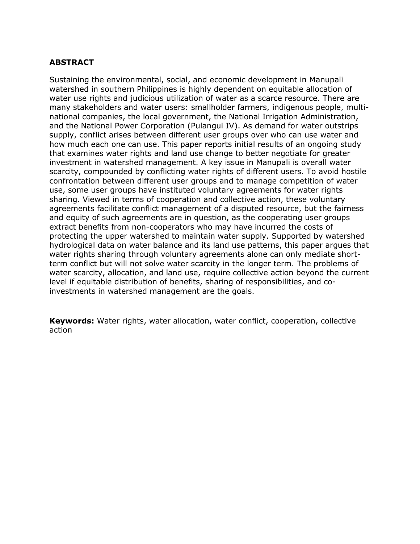## **ABSTRACT**

Sustaining the environmental, social, and economic development in Manupali watershed in southern Philippines is highly dependent on equitable allocation of water use rights and judicious utilization of water as a scarce resource. There are many stakeholders and water users: smallholder farmers, indigenous people, multinational companies, the local government, the National Irrigation Administration, and the National Power Corporation (Pulangui IV). As demand for water outstrips supply, conflict arises between different user groups over who can use water and how much each one can use. This paper reports initial results of an ongoing study that examines water rights and land use change to better negotiate for greater investment in watershed management. A key issue in Manupali is overall water scarcity, compounded by conflicting water rights of different users. To avoid hostile confrontation between different user groups and to manage competition of water use, some user groups have instituted voluntary agreements for water rights sharing. Viewed in terms of cooperation and collective action, these voluntary agreements facilitate conflict management of a disputed resource, but the fairness and equity of such agreements are in question, as the cooperating user groups extract benefits from non-cooperators who may have incurred the costs of protecting the upper watershed to maintain water supply. Supported by watershed hydrological data on water balance and its land use patterns, this paper argues that water rights sharing through voluntary agreements alone can only mediate shortterm conflict but will not solve water scarcity in the longer term. The problems of water scarcity, allocation, and land use, require collective action beyond the current level if equitable distribution of benefits, sharing of responsibilities, and coinvestments in watershed management are the goals.

**Keywords:** Water rights, water allocation, water conflict, cooperation, collective action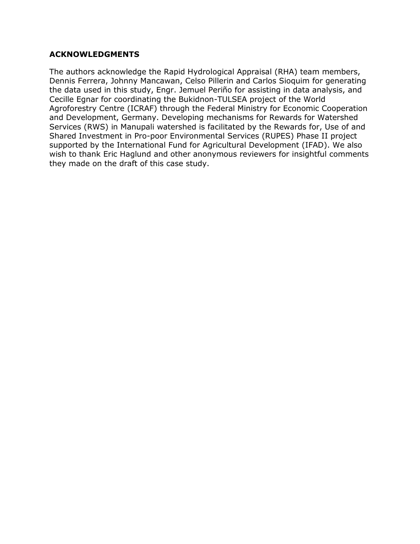### **ACKNOWLEDGMENTS**

The authors acknowledge the Rapid Hydrological Appraisal (RHA) team members, Dennis Ferrera, Johnny Mancawan, Celso Pillerin and Carlos Sioquim for generating the data used in this study, Engr. Jemuel Periño for assisting in data analysis, and Cecille Egnar for coordinating the Bukidnon-TULSEA project of the World Agroforestry Centre (ICRAF) through the Federal Ministry for Economic Cooperation and Development, Germany. Developing mechanisms for Rewards for Watershed Services (RWS) in Manupali watershed is facilitated by the Rewards for, Use of and Shared Investment in Pro-poor Environmental Services (RUPES) Phase II project supported by the International Fund for Agricultural Development (IFAD). We also wish to thank Eric Haglund and other anonymous reviewers for insightful comments they made on the draft of this case study.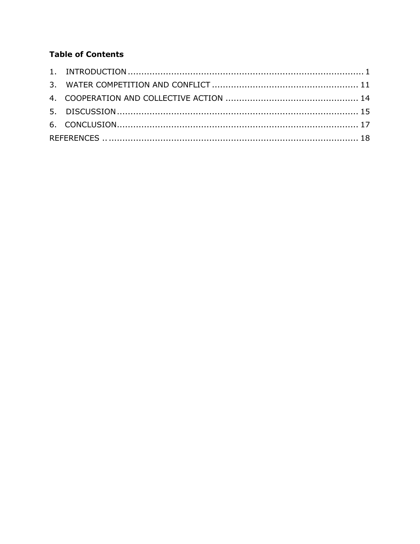# **Table of Contents**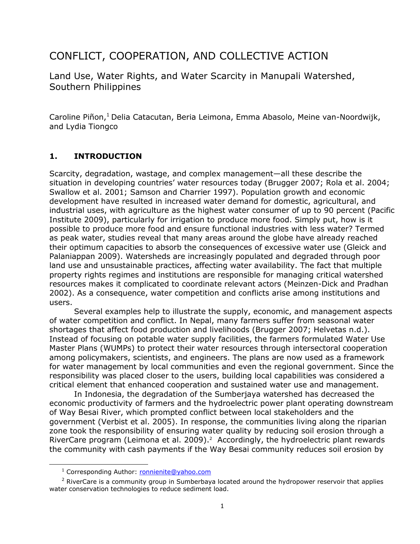# CONFLICT, COOPERATION, AND COLLECTIVE ACTION

Land Use, Water Rights, and Water Scarcity in Manupali Watershed, Southern Philippines

Caroline Piñon,<sup>1</sup> Delia Catacutan, Beria Leimona, Emma Abasolo, Meine van-Noordwijk, and Lydia Tiongco

## <span id="page-5-0"></span>**1. INTRODUCTION**

Scarcity, degradation, wastage, and complex management—all these describe the situation in developing countries' water resources today (Brugger 2007; Rola et al. 2004; Swallow et al. 2001; Samson and Charrier 1997). Population growth and economic development have resulted in increased water demand for domestic, agricultural, and industrial uses, with agriculture as the highest water consumer of up to 90 percent (Pacific Institute 2009), particularly for irrigation to produce more food. Simply put, how is it possible to produce more food and ensure functional industries with less water? Termed as peak water, studies reveal that many areas around the globe have already reached their optimum capacities to absorb the consequences of excessive water use (Gleick and Palaniappan 2009). Watersheds are increasingly populated and degraded through poor land use and unsustainable practices, affecting water availability. The fact that multiple property rights regimes and institutions are responsible for managing critical watershed resources makes it complicated to coordinate relevant actors (Meinzen-Dick and Pradhan 2002). As a consequence, water competition and conflicts arise among institutions and users.

Several examples help to illustrate the supply, economic, and management aspects of water competition and conflict. In Nepal, many farmers suffer from seasonal water shortages that affect food production and livelihoods (Brugger 2007; Helvetas n.d.). Instead of focusing on potable water supply facilities, the farmers formulated Water Use Master Plans (WUMPs) to protect their water resources through intersectoral cooperation among policymakers, scientists, and engineers. The plans are now used as a framework for water management by local communities and even the regional government. Since the responsibility was placed closer to the users, building local capabilities was considered a critical element that enhanced cooperation and sustained water use and management.

In Indonesia, the degradation of the Sumberjaya watershed has decreased the economic productivity of farmers and the hydroelectric power plant operating downstream of Way Besai River, which prompted conflict between local stakeholders and the government (Verbist et al. 2005). In response, the communities living along the riparian zone took the responsibility of ensuring water quality by reducing soil erosion through a RiverCare program (Leimona et al. 2009).<sup>2</sup> Accordingly, the hydroelectric plant rewards the community with cash payments if the Way Besai community reduces soil erosion by

 $\overline{\phantom{a}}$ 

<sup>&</sup>lt;sup>1</sup> Corresponding Author: [ronnienite@yahoo.com](mailto:ronnienite@yahoo.com)

 $<sup>2</sup>$  RiverCare is a community group in Sumberbaya located around the hydropower reservoir that applies</sup> water conservation technologies to reduce sediment load.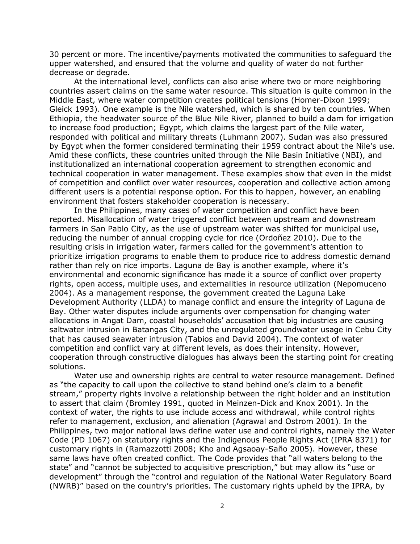30 percent or more. The incentive/payments motivated the communities to safeguard the upper watershed, and ensured that the volume and quality of water do not further decrease or degrade.

At the international level, conflicts can also arise where two or more neighboring countries assert claims on the same water resource. This situation is quite common in the Middle East, where water competition creates political tensions (Homer-Dixon 1999; Gleick 1993). One example is the Nile watershed, which is shared by ten countries. When Ethiopia, the headwater source of the Blue Nile River, planned to build a dam for irrigation to increase food production; Egypt, which claims the largest part of the Nile water, responded with political and military threats (Luhmann 2007). Sudan was also pressured by Egypt when the former considered terminating their 1959 contract about the Nile's use. Amid these conflicts, these countries united through the Nile Basin Initiative (NBI), and institutionalized an international cooperation agreement to strengthen economic and technical cooperation in water management. These examples show that even in the midst of competition and conflict over water resources, cooperation and collective action among different users is a potential response option. For this to happen, however, an enabling environment that fosters stakeholder cooperation is necessary.

In the Philippines, many cases of water competition and conflict have been reported. Misallocation of water triggered conflict between upstream and downstream farmers in San Pablo City, as the use of upstream water was shifted for municipal use, reducing the number of annual cropping cycle for rice (Ordoñez 2010). Due to the resulting crisis in irrigation water, farmers called for the government's attention to prioritize irrigation programs to enable them to produce rice to address domestic demand rather than rely on rice imports. Laguna de Bay is another example, where it's environmental and economic significance has made it a source of conflict over property rights, open access, multiple uses, and externalities in resource utilization (Nepomuceno 2004). As a management response, the government created the Laguna Lake Development Authority (LLDA) to manage conflict and ensure the integrity of Laguna de Bay. Other water disputes include arguments over compensation for changing water allocations in Angat Dam, coastal households' accusation that big industries are causing saltwater intrusion in Batangas City, and the unregulated groundwater usage in Cebu City that has caused seawater intrusion (Tabios and David 2004). The context of water competition and conflict vary at different levels, as does their intensity. However, cooperation through constructive dialogues has always been the starting point for creating solutions.

Water use and ownership rights are central to water resource management. Defined as "the capacity to call upon the collective to stand behind one's claim to a benefit stream," property rights involve a relationship between the right holder and an institution to assert that claim (Bromley 1991, quoted in Meinzen-Dick and Knox 2001). In the context of water, the rights to use include access and withdrawal, while control rights refer to management, exclusion, and alienation (Agrawal and Ostrom 2001). In the Philippines, two major national laws define water use and control rights, namely the Water Code (PD 1067) on statutory rights and the Indigenous People Rights Act (IPRA 8371) for customary rights in (Ramazzotti 2008; Kho and Agsaoay-Saño 2005). However, these same laws have often created conflict. The Code provides that "all waters belong to the state" and "cannot be subjected to acquisitive prescription," but may allow its "use or development" through the "control and regulation of the National Water Regulatory Board (NWRB)" based on the country's priorities. The customary rights upheld by the IPRA, by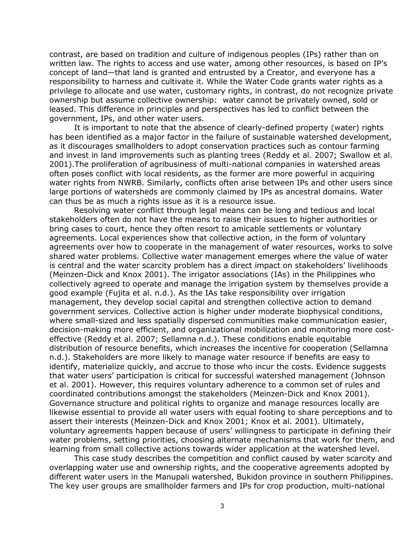contrast, are based on tradition and culture of indigenous peoples (IPs) rather than on written law. The rights to access and use water, among other resources, is based on IP's concept of land—that land is granted and entrusted by a Creator, and everyone has a responsibility to harness and cultivate it. While the Water Code grants water rights as a privilege to allocate and use water, customary rights, in contrast, do not recognize private ownership but assume collective ownership: water cannot be privately owned, sold or leased. This difference in principles and perspectives has led to conflict between the government, IPs, and other water users.

It is important to note that the absence of clearly-defined property (water) rights has been identified as a major factor in the failure of sustainable watershed development, as it discourages smallholders to adopt conservation practices such as contour farming and invest in land improvements such as planting trees (Reddy et al. 2007; Swallow et al. 2001).The proliferation of agribusiness of multi-national companies in watershed areas often poses conflict with local residents, as the former are more powerful in acquiring water rights from NWRB. Similarly, conflicts often arise between IPs and other users since large portions of watersheds are commonly claimed by IPs as ancestral domains. Water can thus be as much a rights issue as it is a resource issue.

Resolving water conflict through legal means can be long and tedious and local stakeholders often do not have the means to raise their issues to higher authorities or bring cases to court, hence they often resort to amicable settlements or voluntary agreements. Local experiences show that collective action, in the form of voluntary agreements over how to cooperate in the management of water resources, works to solve shared water problems. Collective water management emerges where the value of water is central and the water scarcity problem has a direct impact on stakeholders' livelihoods (Meinzen-Dick and Knox 2001). The irrigator associations (IAs) in the Philippines who collectively agreed to operate and manage the irrigation system by themselves provide a good example (Fujita et al. n.d.). As the IAs take responsibility over irrigation management, they develop social capital and strengthen collective action to demand government services. Collective action is higher under moderate biophysical conditions, where small-sized and less spatially dispersed communities make communication easier, decision-making more efficient, and organizational mobilization and monitoring more costeffective (Reddy et al. 2007; Sellamna n.d.). These conditions enable equitable distribution of resource benefits, which increases the incentive for cooperation (Sellamna n.d.). Stakeholders are more likely to manage water resource if benefits are easy to identify, materialize quickly, and accrue to those who incur the costs. Evidence suggests that water users' participation is critical for successful watershed management (Johnson et al. 2001). However, this requires voluntary adherence to a common set of rules and coordinated contributions amongst the stakeholders (Meinzen-Dick and Knox 2001). Governance structure and political rights to organize and manage resources locally are likewise essential to provide all water users with equal footing to share perceptions and to assert their interests (Meinzen-Dick and Knox 2001; Knox et al. 2001). Ultimately, voluntary agreements happen because of users' willingness to participate in defining their water problems, setting priorities, choosing alternate mechanisms that work for them, and learning from small collective actions towards wider application at the watershed level.

This case study describes the competition and conflict caused by water scarcity and overlapping water use and ownership rights, and the cooperative agreements adopted by different water users in the Manupali watershed, Bukidon province in southern Philippines. The key user groups are smallholder farmers and IPs for crop production, multi-national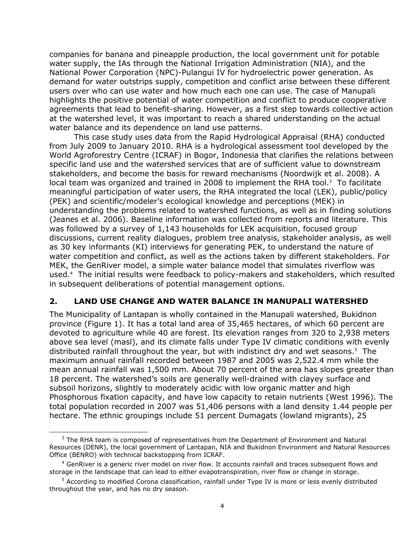companies for banana and pineapple production, the local government unit for potable water supply, the IAs through the National Irrigation Administration (NIA), and the National Power Corporation (NPC)-Pulangui IV for hydroelectric power generation. As demand for water outstrips supply, competition and conflict arise between these different users over who can use water and how much each one can use. The case of Manupali highlights the positive potential of water competition and conflict to produce cooperative agreements that lead to benefit-sharing. However, as a first step towards collective action at the watershed level, it was important to reach a shared understanding on the actual water balance and its dependence on land use patterns.

This case study uses data from the Rapid Hydrological Appraisal (RHA) conducted from July 2009 to January 2010. RHA is a hydrological assessment tool developed by the World Agroforestry Centre (ICRAF) in Bogor, Indonesia that clarifies the relations between specific land use and the watershed services that are of sufficient value to downstream stakeholders, and become the basis for reward mechanisms (Noordwijk et al. 2008). A local team was organized and trained in 2008 to implement the RHA tool. $3$  To facilitate meaningful participation of water users, the RHA integrated the local (LEK), public/policy (PEK) and scientific/modeler's ecological knowledge and perceptions (MEK) in understanding the problems related to watershed functions, as well as in finding solutions (Jeanes et al. 2006). Baseline information was collected from reports and literature. This was followed by a survey of 1,143 households for LEK acquisition, focused group discussions, current reality dialogues, problem tree analysis, stakeholder analysis, as well as 30 key informants (KI) interviews for generating PEK, to understand the nature of water competition and conflict, as well as the actions taken by different stakeholders. For MEK, the GenRiver model, a simple water balance model that simulates riverflow was used.<sup>4</sup> The initial results were feedback to policy-makers and stakeholders, which resulted in subsequent deliberations of potential management options.

#### **2. LAND USE CHANGE AND WATER BALANCE IN MANUPALI WATERSHED**

The Municipality of Lantapan is wholly contained in the Manupali watershed, Bukidnon province (Figure 1). It has a total land area of 35,465 hectares, of which 60 percent are devoted to agriculture while 40 are forest. Its elevation ranges from 320 to 2,938 meters above sea level (masl), and its climate falls under Type IV climatic conditions with evenly distributed rainfall throughout the year, but with indistinct dry and wet seasons.<sup>5</sup> The maximum annual rainfall recorded between 1987 and 2005 was 2,522.4 mm while the mean annual rainfall was 1,500 mm. About 70 percent of the area has slopes greater than 18 percent. The watershed's soils are generally well-drained with clayey surface and subsoil horizons, slightly to moderately acidic with low organic matter and high Phosphorous fixation capacity, and have low capacity to retain nutrients (West 1996). The total population recorded in 2007 was 51,406 persons with a land density 1.44 people per hectare. The ethnic groupings include 51 percent Dumagats (lowland migrants), 25

l

 $3$  The RHA team is composed of representatives from the Department of Environment and Natural Resources (DENR), the local government of Lantapan, NIA and Bukidnon Environment and Natural Resources Office (BENRO) with technical backstopping from ICRAF.

 $4$  GenRiver is a generic river model on river flow. It accounts rainfall and traces subsequent flows and storage in the landscape that can lead to either evapotranspiration, river flow or change in storage.

<sup>&</sup>lt;sup>5</sup> According to modified Corona classification, rainfall under Type IV is more or less evenly distributed throughout the year, and has no dry season.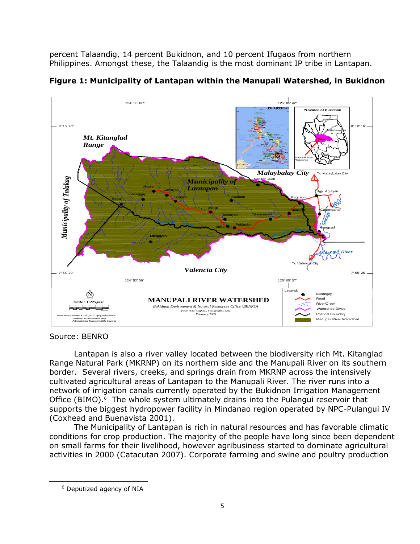percent Talaandig, 14 percent Bukidnon, and 10 percent Ifugaos from northern Philippines. Amongst these, the Talaandig is the most dominant IP tribe in Lantapan.



**Figure 1: Municipality of Lantapan within the Manupali Watershed, in Bukidnon**

Source: BENRO

Lantapan is also a river valley located between the biodiversity rich Mt. Kitanglad Range Natural Park (MKRNP) on its northern side and the Manupali River on its southern border. Several rivers, creeks, and springs drain from MKRNP across the intensively cultivated agricultural areas of Lantapan to the Manupali River. The river runs into a network of irrigation canals currently operated by the Bukidnon Irrigation Management Office (BIMO).<sup>6</sup> The whole system ultimately drains into the Pulangui reservoir that supports the biggest hydropower facility in Mindanao region operated by NPC-Pulangui IV (Coxhead and Buenavista 2001).

The Municipality of Lantapan is rich in natural resources and has favorable climatic conditions for crop production. The majority of the people have long since been dependent on small farms for their livelihood, however agribusiness started to dominate agricultural activities in 2000 (Catacutan 2007). Corporate farming and swine and poultry production

l

<sup>6</sup> Deputized agency of NIA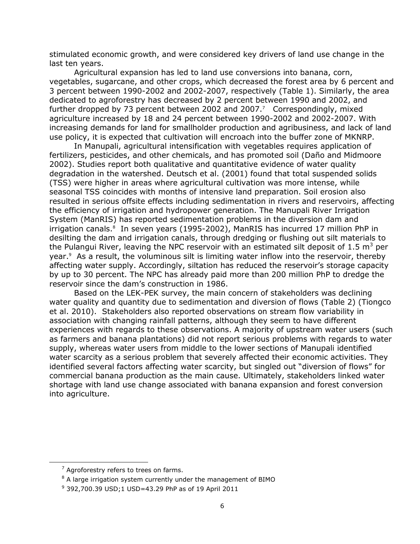stimulated economic growth, and were considered key drivers of land use change in the last ten years.

Agricultural expansion has led to land use conversions into banana, corn, vegetables, sugarcane, and other crops, which decreased the forest area by 6 percent and 3 percent between 1990-2002 and 2002-2007, respectively (Table 1). Similarly, the area dedicated to agroforestry has decreased by 2 percent between 1990 and 2002, and further dropped by 73 percent between 2002 and 2007.<sup>7</sup> Correspondingly, mixed agriculture increased by 18 and 24 percent between 1990-2002 and 2002-2007. With increasing demands for land for smallholder production and agribusiness, and lack of land use policy, it is expected that cultivation will encroach into the buffer zone of MKNRP.

In Manupali, agricultural intensification with vegetables requires application of fertilizers, pesticides, and other chemicals, and has promoted soil (Daño and Midmoore 2002). Studies report both qualitative and quantitative evidence of water quality degradation in the watershed. Deutsch et al. (2001) found that total suspended solids (TSS) were higher in areas where agricultural cultivation was more intense, while seasonal TSS coincides with months of intensive land preparation. Soil erosion also resulted in serious offsite effects including sedimentation in rivers and reservoirs, affecting the efficiency of irrigation and hydropower generation. The Manupali River Irrigation System (ManRIS) has reported sedimentation problems in the diversion dam and irrigation canals.<sup>8</sup> In seven years (1995-2002), ManRIS has incurred 17 million PhP in desilting the dam and irrigation canals, through dredging or flushing out silt materials to the Pulangui River, leaving the NPC reservoir with an estimated silt deposit of 1.5  $m^3$  per year.<sup>9</sup> As a result, the voluminous silt is limiting water inflow into the reservoir, thereby affecting water supply. Accordingly, siltation has reduced the reservoir's storage capacity by up to 30 percent. The NPC has already paid more than 200 million PhP to dredge the reservoir since the dam's construction in 1986.

Based on the LEK-PEK survey, the main concern of stakeholders was declining water quality and quantity due to sedimentation and diversion of flows (Table 2) (Tiongco et al. 2010). Stakeholders also reported observations on stream flow variability in association with changing rainfall patterns, although they seem to have different experiences with regards to these observations. A majority of upstream water users (such as farmers and banana plantations) did not report serious problems with regards to water supply, whereas water users from middle to the lower sections of Manupali identified water scarcity as a serious problem that severely affected their economic activities. They identified several factors affecting water scarcity, but singled out "diversion of flows" for commercial banana production as the main cause. Ultimately, stakeholders linked water shortage with land use change associated with banana expansion and forest conversion into agriculture.

 $\overline{\phantom{a}}$ 

 $<sup>7</sup>$  Agroforestry refers to trees on farms.</sup>

<sup>&</sup>lt;sup>8</sup> A large irrigation system currently under the management of BIMO

<sup>9</sup> 392,700.39 USD;1 USD=43.29 PhP as of 19 April 2011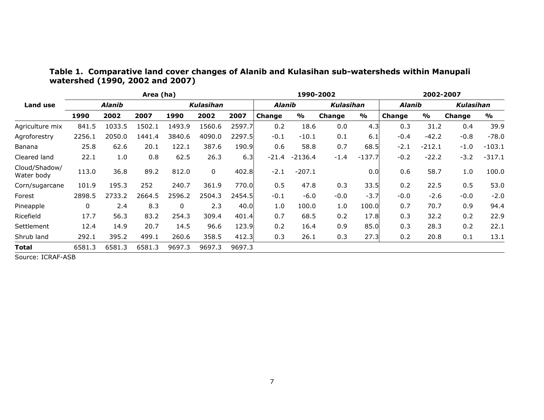|                             | Area (ha) |        |        |           | 1990-2002   |               |         | 2002-2007     |        |               |        |               |        |               |
|-----------------------------|-----------|--------|--------|-----------|-------------|---------------|---------|---------------|--------|---------------|--------|---------------|--------|---------------|
| Land use                    | Alanib    |        |        | Kulasihan |             | <b>Alanib</b> |         | Kulasihan     |        | <b>Alanib</b> |        | Kulasihan     |        |               |
|                             | 1990      | 2002   | 2007   | 1990      | 2002        | 2007          | Change  | $\frac{1}{2}$ | Change | $\frac{1}{2}$ | Change | $\frac{0}{0}$ | Change | $\frac{0}{0}$ |
| Agriculture mix             | 841.5     | 1033.5 | 1502.1 | 1493.9    | 1560.6      | 2597.7        | 0.2     | 18.6          | 0.0    | 4.3           | 0.3    | 31.2          | 0.4    | 39.9          |
| Agroforestry                | 2256.1    | 2050.0 | 1441.4 | 3840.6    | 4090.0      | 2297.5        | $-0.1$  | $-10.1$       | 0.1    | 6.1           | $-0.4$ | $-42.2$       | $-0.8$ | $-78.0$       |
| Banana                      | 25.8      | 62.6   | 20.1   | 122.1     | 387.6       | 190.9         | 0.6     | 58.8          | 0.7    | 68.5          | $-2.1$ | $-212.1$      | $-1.0$ | $-103.1$      |
| Cleared land                | 22.1      | 1.0    | 0.8    | 62.5      | 26.3        | 6.3           | $-21.4$ | $-2136.4$     | $-1.4$ | $-137.7$      | $-0.2$ | $-22.2$       | $-3.2$ | $-317.1$      |
| Cloud/Shadow/<br>Water body | 113.0     | 36.8   | 89.2   | 812.0     | $\mathbf 0$ | 402.8         | $-2.1$  | $-207.1$      |        | 0.0           | 0.6    | 58.7          | 1.0    | 100.0         |
| Corn/sugarcane              | 101.9     | 195.3  | 252    | 240.7     | 361.9       | 770.0         | 0.5     | 47.8          | 0.3    | 33.5          | 0.2    | 22.5          | 0.5    | 53.0          |
| Forest                      | 2898.5    | 2733.2 | 2664.5 | 2596.2    | 2504.3      | 2454.5        | $-0.1$  | $-6.0$        | $-0.0$ | $-3.7$        | $-0.0$ | $-2.6$        | $-0.0$ | $-2.0$        |
| Pineapple                   | 0         | 2.4    | 8.3    | 0         | 2.3         | 40.0          | 1.0     | 100.0         | 1.0    | 100.0         | 0.7    | 70.7          | 0.9    | 94.4          |
| Ricefield                   | 17.7      | 56.3   | 83.2   | 254.3     | 309.4       | 401.4         | 0.7     | 68.5          | 0.2    | 17.8          | 0.3    | 32.2          | 0.2    | 22.9          |
| Settlement                  | 12.4      | 14.9   | 20.7   | 14.5      | 96.6        | 123.9         | 0.2     | 16.4          | 0.9    | 85.0          | 0.3    | 28.3          | 0.2    | 22.1          |
| Shrub land                  | 292.1     | 395.2  | 499.1  | 260.6     | 358.5       | 412.3         | 0.3     | 26.1          | 0.3    | 27.3          | 0.2    | 20.8          | 0.1    | 13.1          |
| <b>Total</b>                | 6581.3    | 6581.3 | 6581.3 | 9697.3    | 9697.3      | 9697.3        |         |               |        |               |        |               |        |               |

## **Table 1. Comparative land cover changes of Alanib and Kulasihan sub-watersheds within Manupali watershed (1990, 2002 and 2007)**

Source: ICRAF-ASB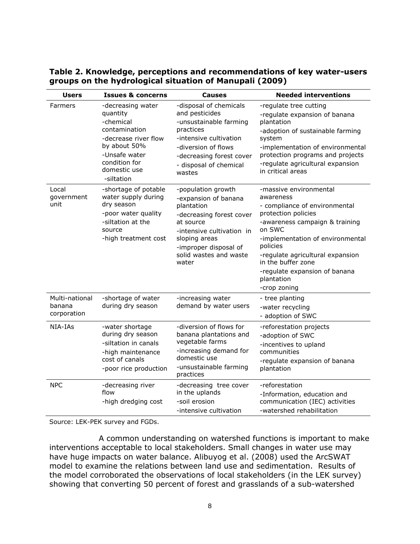| <b>Users</b>                            | <b>Issues &amp; concerns</b>                                                                                                                                        | <b>Causes</b>                                                                                                                                                                                               | <b>Needed interventions</b>                                                                                                                                                                                                                                                                                      |
|-----------------------------------------|---------------------------------------------------------------------------------------------------------------------------------------------------------------------|-------------------------------------------------------------------------------------------------------------------------------------------------------------------------------------------------------------|------------------------------------------------------------------------------------------------------------------------------------------------------------------------------------------------------------------------------------------------------------------------------------------------------------------|
| Farmers                                 | -decreasing water<br>quantity<br>-chemical<br>contamination<br>-decrease river flow<br>by about 50%<br>-Unsafe water<br>condition for<br>domestic use<br>-siltation | -disposal of chemicals<br>and pesticides<br>-unsustainable farming<br>practices<br>-intensive cultivation<br>-diversion of flows<br>-decreasing forest cover<br>- disposal of chemical<br>wastes            | -regulate tree cutting<br>-regulate expansion of banana<br>plantation<br>-adoption of sustainable farming<br>system<br>-implementation of environmental<br>protection programs and projects<br>-regulate agricultural expansion<br>in critical areas                                                             |
| Local<br>qovernment<br>unit             | -shortage of potable<br>water supply during<br>dry season<br>-poor water quality<br>-siltation at the<br>source<br>-high treatment cost                             | -population growth<br>-expansion of banana<br>plantation<br>-decreasing forest cover<br>at source<br>-intensive cultivation in<br>sloping areas<br>-improper disposal of<br>solid wastes and waste<br>water | -massive environmental<br>awareness<br>- compliance of environmental<br>protection policies<br>-awareness campaign & training<br>on SWC<br>-implementation of environmental<br>policies<br>-regulate agricultural expansion<br>in the buffer zone<br>-regulate expansion of banana<br>plantation<br>-crop zoning |
| Multi-national<br>banana<br>corporation | -shortage of water<br>during dry season                                                                                                                             | -increasing water<br>demand by water users                                                                                                                                                                  | - tree planting<br>-water recycling<br>- adoption of SWC                                                                                                                                                                                                                                                         |
| NIA-IAS                                 | -water shortage<br>during dry season<br>-siltation in canals<br>-high maintenance<br>cost of canals<br>-poor rice production                                        | -diversion of flows for<br>banana plantations and<br>vegetable farms<br>-increasing demand for<br>domestic use<br>-unsustainable farming<br>practices                                                       | -reforestation projects<br>-adoption of SWC<br>-incentives to upland<br>communities<br>-regulate expansion of banana<br>plantation                                                                                                                                                                               |
| <b>NPC</b>                              | -decreasing river<br>flow<br>-high dredging cost                                                                                                                    | -decreasing tree cover<br>in the uplands<br>-soil erosion<br>-intensive cultivation                                                                                                                         | -reforestation<br>-Information, education and<br>communication (IEC) activities<br>-watershed rehabilitation                                                                                                                                                                                                     |

**Table 2. Knowledge, perceptions and recommendations of key water-users groups on the hydrological situation of Manupali (2009)**

Source: LEK-PEK survey and FGDs.

A common understanding on watershed functions is important to make interventions acceptable to local stakeholders. Small changes in water use may have huge impacts on water balance. Alibuyog et al. (2008) used the ArcSWAT model to examine the relations between land use and sedimentation. Results of the model corroborated the observations of local stakeholders (in the LEK survey) showing that converting 50 percent of forest and grasslands of a sub-watershed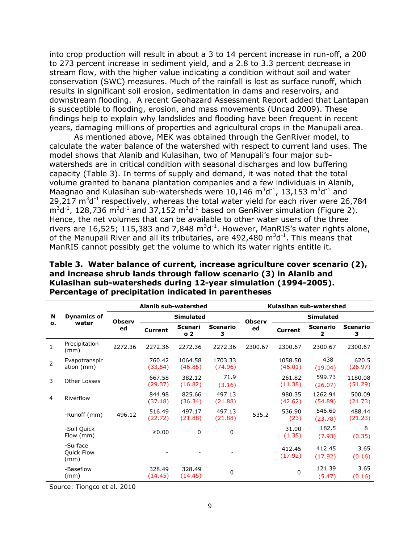into crop production will result in about a 3 to 14 percent increase in run-off, a 200 to 273 percent increase in sediment yield, and a 2.8 to 3.3 percent decrease in stream flow, with the higher value indicating a condition without soil and water conservation (SWC) measures. Much of the rainfall is lost as surface runoff, which results in significant soil erosion, sedimentation in dams and reservoirs, and downstream flooding. A recent Geohazard Assessment Report added that Lantapan is susceptible to flooding, erosion, and mass movements (Uncad 2009). These findings help to explain why landslides and flooding have been frequent in recent years, damaging millions of properties and agricultural crops in the Manupali area.

As mentioned above, MEK was obtained through the GenRiver model, to calculate the water balance of the watershed with respect to current land uses. The model shows that Alanib and Kulasihan, two of Manupali's four major subwatersheds are in critical condition with seasonal discharges and low buffering capacity (Table 3). In terms of supply and demand, it was noted that the total volume granted to banana plantation companies and a few individuals in Alanib, Maagnao and Kulasihan sub-watersheds were 10,146  $m^3d^{-1}$ , 13,153  $m^3d^{-1}$  and 29,217  $m^3d^{-1}$  respectively, whereas the total water yield for each river were 26,784  $m^3d^1$ , 128,736  $m^3d^1$  and 37,152  $m^3d^1$  based on GenRiver simulation (Figure 2). Hence, the net volumes that can be available to other water users of the three rivers are 16,525; 115,383 and 7,848  $m^3d^{-1}$ . However, ManRIS's water rights alone, of the Manupali River and all its tributaries, are 492,480  $m^3d^{-1}$ . This means that ManRIS cannot possibly get the volume to which its water rights entitle it.

|                |                                       |               | Alanib sub-watershed |                           |                      | Kulasihan sub-watershed |                    |                      |                      |
|----------------|---------------------------------------|---------------|----------------------|---------------------------|----------------------|-------------------------|--------------------|----------------------|----------------------|
| N<br>о.        | <b>Dynamics of</b><br>water           | <b>Observ</b> | <b>Simulated</b>     |                           |                      | <b>Observ</b>           | <b>Simulated</b>   |                      |                      |
|                |                                       | ed            | Current              | Scenari<br>0 <sub>2</sub> | <b>Scenario</b><br>з | ed                      | <b>Current</b>     | <b>Scenario</b><br>2 | <b>Scenario</b><br>з |
| $\mathbf{1}$   | Precipitation<br>(mm)                 | 2272.36       | 2272.36              | 2272.36                   | 2272.36              | 2300.67                 | 2300.67            | 2300.67              | 2300.67              |
| $\overline{2}$ | Evapotranspir<br>ation (mm)           |               | 760.42<br>(33.54)    | 1064.58<br>(46.85)        | 1703.33<br>(74.96)   |                         | 1058.50<br>(46.01) | 438<br>(19.04)       | 620.5<br>(26.97)     |
| 3              | Other Losses                          |               | 667.58<br>(29.37)    | 382.12<br>(16.82)         | 71.9<br>(3.16)       |                         | 261.82<br>(11.38)  | 599.73<br>(26.07)    | 1180.08<br>(51.29)   |
| 4              | Riverflow                             |               | 844.98<br>(37.18)    | 825.66<br>(36.34)         | 497.13<br>(21.88)    |                         | 980.35<br>(42.62)  | 1262.94<br>(54.89)   | 500.09<br>(21.73)    |
|                | -Runoff (mm)                          | 496.12        | 516.49<br>(22.72)    | 497.17<br>(21.88)         | 497.13<br>(21.88)    | 535.2                   | 536.90<br>(23)     | 546.60<br>(23.78)    | 488.44<br>(21.23)    |
|                | -Soil Quick<br>Flow (mm)              |               | $\geq 0.00$          | 0                         | 0                    |                         | 31.00<br>(1.35)    | 182.5<br>(7.93)      | 8<br>(0.35)          |
|                | -Surface<br><b>Quick Flow</b><br>(mm) |               |                      |                           |                      |                         | 412.45<br>(17.92)  | 412.45<br>(17.92)    | 3.65<br>(0.16)       |
|                | -Baseflow<br>(mm)                     |               | 328.49<br>(14.45)    | 328.49<br>(14.45)         | 0                    |                         | $\Omega$           | 121.39<br>(5.47)     | 3.65<br>(0.16)       |

**Table 3. Water balance of current, increase agriculture cover scenario (2), and increase shrub lands through fallow scenario (3) in Alanib and Kulasihan sub-watersheds during 12-year simulation (1994-2005). Percentage of precipitation indicated in parentheses**

Source: Tiongco et al. 2010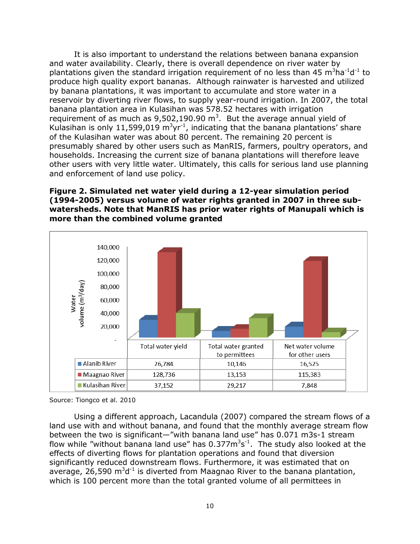It is also important to understand the relations between banana expansion and water availability. Clearly, there is overall dependence on river water by plantations given the standard irrigation requirement of no less than 45  $m<sup>3</sup>$ ha<sup>-1</sup>d<sup>-1</sup> to produce high quality export bananas. Although rainwater is harvested and utilized by banana plantations, it was important to accumulate and store water in a reservoir by diverting river flows, to supply year-round irrigation. In 2007, the total banana plantation area in Kulasihan was 578.52 hectares with irrigation requirement of as much as  $9,502,190.90$  m<sup>3</sup>. But the average annual yield of Kulasihan is only 11,599,019 m<sup>3</sup>yr<sup>-1</sup>, indicating that the banana plantations' share of the Kulasihan water was about 80 percent. The remaining 20 percent is presumably shared by other users such as ManRIS, farmers, poultry operators, and households. Increasing the current size of banana plantations will therefore leave other users with very little water. Ultimately, this calls for serious land use planning and enforcement of land use policy.

#### **Figure 2. Simulated net water yield during a 12-year simulation period (1994-2005) versus volume of water rights granted in 2007 in three subwatersheds. Note that ManRIS has prior water rights of Manupali which is more than the combined volume granted**



Source: Tiongco et al. 2010

Using a different approach, Lacandula (2007) compared the stream flows of a land use with and without banana, and found that the monthly average stream flow between the two is significant—"with banana land use" has 0.071 m3s-1 stream flow while "without banana land use" has  $0.377$  $\mathrm{m}^{3}$ s<sup>-1</sup>. The study also looked at the effects of diverting flows for plantation operations and found that diversion significantly reduced downstream flows. Furthermore, it was estimated that on average, 26,590  $m^3d^{-1}$  is diverted from Maagnao River to the banana plantation, which is 100 percent more than the total granted volume of all permittees in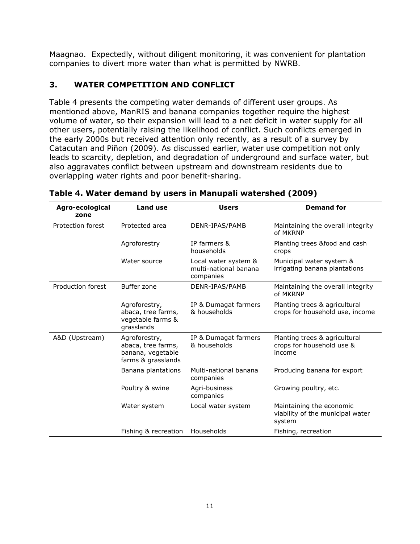Maagnao. Expectedly, without diligent monitoring, it was convenient for plantation companies to divert more water than what is permitted by NWRB.

## <span id="page-15-0"></span>**3. WATER COMPETITION AND CONFLICT**

Table 4 presents the competing water demands of different user groups. As mentioned above, ManRIS and banana companies together require the highest volume of water, so their expansion will lead to a net deficit in water supply for all other users, potentially raising the likelihood of conflict. Such conflicts emerged in the early 2000s but received attention only recently, as a result of a survey by Catacutan and Piñon (2009). As discussed earlier, water use competition not only leads to scarcity, depletion, and degradation of underground and surface water, but also aggravates conflict between upstream and downstream residents due to overlapping water rights and poor benefit-sharing.

| Agro-ecological<br>zone | <b>Land use</b>                                                                | <b>Users</b>                                               | <b>Demand for</b>                                                      |
|-------------------------|--------------------------------------------------------------------------------|------------------------------------------------------------|------------------------------------------------------------------------|
| Protection forest       | Protected area                                                                 | DENR-IPAS/PAMB                                             | Maintaining the overall integrity<br>of MKRNP                          |
|                         | Agroforestry                                                                   | IP farmers &<br>households                                 | Planting trees &food and cash<br>crops                                 |
|                         | Water source                                                                   | Local water system &<br>multi-national banana<br>companies | Municipal water system &<br>irrigating banana plantations              |
| Production forest       | Buffer zone                                                                    | DENR-IPAS/PAMB                                             | Maintaining the overall integrity<br>of MKRNP                          |
|                         | Agroforestry,<br>abaca, tree farms,<br>vegetable farms &<br>grasslands         | IP & Dumagat farmers<br>& households                       | Planting trees & agricultural<br>crops for household use, income       |
| A&D (Upstream)          | Agroforestry,<br>abaca, tree farms,<br>banana, vegetable<br>farms & grasslands | IP & Dumagat farmers<br>& households                       | Planting trees & agricultural<br>crops for household use &<br>income   |
|                         | Banana plantations                                                             | Multi-national banana<br>companies                         | Producing banana for export                                            |
|                         | Poultry & swine                                                                | Agri-business<br>companies                                 | Growing poultry, etc.                                                  |
|                         | Water system                                                                   | Local water system                                         | Maintaining the economic<br>viability of the municipal water<br>system |
|                         | Fishing & recreation                                                           | Households                                                 | Fishing, recreation                                                    |

| Table 4. Water demand by users in Manupali watershed (2009) |  |  |  |  |  |
|-------------------------------------------------------------|--|--|--|--|--|
|-------------------------------------------------------------|--|--|--|--|--|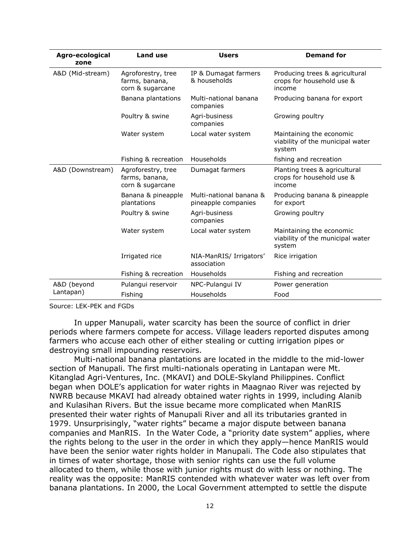| Agro-ecological<br>zone | <b>Land use</b>                                          | <b>Users</b>                                   | <b>Demand for</b>                                                      |
|-------------------------|----------------------------------------------------------|------------------------------------------------|------------------------------------------------------------------------|
| A&D (Mid-stream)        | Agroforestry, tree<br>farms, banana,<br>corn & sugarcane | IP & Dumagat farmers<br>& households           | Producing trees & agricultural<br>crops for household use &<br>income  |
|                         | Banana plantations                                       | Multi-national banana<br>companies             | Producing banana for export                                            |
|                         | Poultry & swine                                          | Agri-business<br>companies                     | Growing poultry                                                        |
|                         | Water system                                             | Local water system                             | Maintaining the economic<br>viability of the municipal water<br>system |
|                         | Fishing & recreation                                     | Households                                     | fishing and recreation                                                 |
| A&D (Downstream)        | Agroforestry, tree<br>farms, banana,<br>corn & sugarcane | Dumagat farmers                                | Planting trees & agricultural<br>crops for household use &<br>income   |
|                         | Banana & pineapple<br>plantations                        | Multi-national banana &<br>pineapple companies | Producing banana & pineapple<br>for export                             |
|                         | Poultry & swine                                          | Agri-business<br>companies                     | Growing poultry                                                        |
|                         | Water system                                             | Local water system                             | Maintaining the economic<br>viability of the municipal water<br>system |
|                         | Irrigated rice                                           | NIA-ManRIS/ Irrigators'<br>association         | Rice irrigation                                                        |
|                         | Fishing & recreation                                     | Households                                     | Fishing and recreation                                                 |
| A&D (beyond             | Pulangui reservoir                                       | NPC-Pulangui IV                                | Power generation                                                       |
| Lantapan)               | Fishing                                                  | Households                                     | Food                                                                   |

Source: LEK-PEK and FGDs

In upper Manupali, water scarcity has been the source of conflict in drier periods where farmers compete for access. Village leaders reported disputes among farmers who accuse each other of either stealing or cutting irrigation pipes or destroying small impounding reservoirs.

Multi-national banana plantations are located in the middle to the mid-lower section of Manupali. The first multi-nationals operating in Lantapan were Mt. Kitanglad Agri-Ventures, Inc. (MKAVI) and DOLE-Skyland Philippines. Conflict began when DOLE's application for water rights in Maagnao River was rejected by NWRB because MKAVI had already obtained water rights in 1999, including Alanib and Kulasihan Rivers. But the issue became more complicated when ManRIS presented their water rights of Manupali River and all its tributaries granted in 1979. Unsurprisingly, "water rights" became a major dispute between banana companies and ManRIS. In the Water Code, a "priority date system" applies, where the rights belong to the user in the order in which they apply—hence ManRIS would have been the senior water rights holder in Manupali. The Code also stipulates that in times of water shortage, those with senior rights can use the full volume allocated to them, while those with junior rights must do with less or nothing. The reality was the opposite: ManRIS contended with whatever water was left over from banana plantations. In 2000, the Local Government attempted to settle the dispute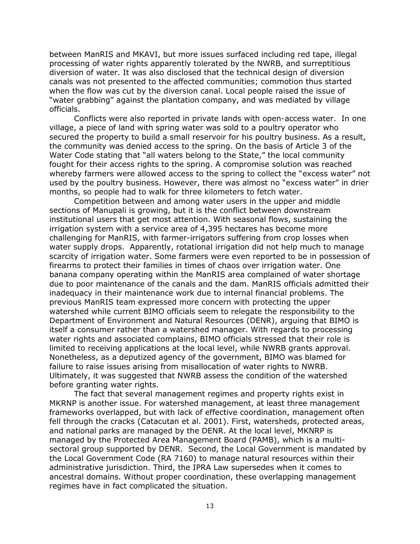between ManRIS and MKAVI, but more issues surfaced including red tape, illegal processing of water rights apparently tolerated by the NWRB, and surreptitious diversion of water. It was also disclosed that the technical design of diversion canals was not presented to the affected communities; commotion thus started when the flow was cut by the diversion canal. Local people raised the issue of "water grabbing" against the plantation company, and was mediated by village officials.

Conflicts were also reported in private lands with open-access water. In one village, a piece of land with spring water was sold to a poultry operator who secured the property to build a small reservoir for his poultry business. As a result, the community was denied access to the spring. On the basis of Article 3 of the Water Code stating that "all waters belong to the State," the local community fought for their access rights to the spring. A compromise solution was reached whereby farmers were allowed access to the spring to collect the "excess water" not used by the poultry business. However, there was almost no "excess water" in drier months, so people had to walk for three kilometers to fetch water.

Competition between and among water users in the upper and middle sections of Manupali is growing, but it is the conflict between downstream institutional users that get most attention. With seasonal flows, sustaining the irrigation system with a service area of 4,395 hectares has become more challenging for ManRIS, with farmer-irrigators suffering from crop losses when water supply drops. Apparently, rotational irrigation did not help much to manage scarcity of irrigation water. Some farmers were even reported to be in possession of firearms to protect their families in times of chaos over irrigation water. One banana company operating within the ManRIS area complained of water shortage due to poor maintenance of the canals and the dam. ManRIS officials admitted their inadequacy in their maintenance work due to internal financial problems. The previous ManRIS team expressed more concern with protecting the upper watershed while current BIMO officials seem to relegate the responsibility to the Department of Environment and Natural Resources (DENR), arguing that BIMO is itself a consumer rather than a watershed manager. With regards to processing water rights and associated complains, BIMO officials stressed that their role is limited to receiving applications at the local level, while NWRB grants approval. Nonetheless, as a deputized agency of the government, BIMO was blamed for failure to raise issues arising from misallocation of water rights to NWRB. Ultimately, it was suggested that NWRB assess the condition of the watershed before granting water rights.

The fact that several management regimes and property rights exist in MKRNP is another issue. For watershed management, at least three management frameworks overlapped, but with lack of effective coordination, management often fell through the cracks (Catacutan et al. 2001). First, watersheds, protected areas, and national parks are managed by the DENR. At the local level, MKNRP is managed by the Protected Area Management Board (PAMB), which is a multisectoral group supported by DENR. Second, the Local Government is mandated by the Local Government Code (RA 7160) to manage natural resources within their administrative jurisdiction. Third, the IPRA Law supersedes when it comes to ancestral domains. Without proper coordination, these overlapping management regimes have in fact complicated the situation.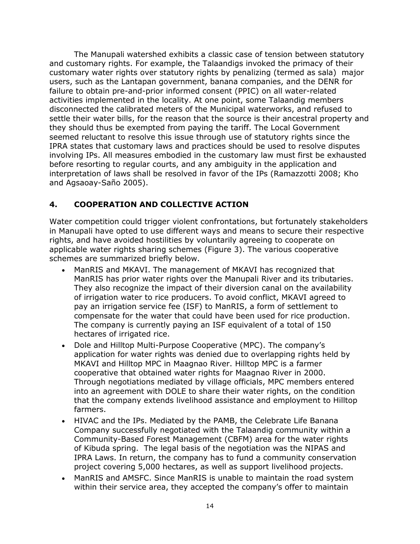The Manupali watershed exhibits a classic case of tension between statutory and customary rights. For example, the Talaandigs invoked the primacy of their customary water rights over statutory rights by penalizing (termed as sala) major users, such as the Lantapan government, banana companies, and the DENR for failure to obtain pre-and-prior informed consent (PPIC) on all water-related activities implemented in the locality. At one point, some Talaandig members disconnected the calibrated meters of the Municipal waterworks, and refused to settle their water bills, for the reason that the source is their ancestral property and they should thus be exempted from paying the tariff. The Local Government seemed reluctant to resolve this issue through use of statutory rights since the IPRA states that customary laws and practices should be used to resolve disputes involving IPs. All measures embodied in the customary law must first be exhausted before resorting to regular courts, and any ambiguity in the application and interpretation of laws shall be resolved in favor of the IPs (Ramazzotti 2008; Kho and Agsaoay-Saño 2005).

## <span id="page-18-0"></span>**4. COOPERATION AND COLLECTIVE ACTION**

Water competition could trigger violent confrontations, but fortunately stakeholders in Manupali have opted to use different ways and means to secure their respective rights, and have avoided hostilities by voluntarily agreeing to cooperate on applicable water rights sharing schemes (Figure 3). The various cooperative schemes are summarized briefly below.

- ManRIS and MKAVI. The management of MKAVI has recognized that ManRIS has prior water rights over the Manupali River and its tributaries. They also recognize the impact of their diversion canal on the availability of irrigation water to rice producers. To avoid conflict, MKAVI agreed to pay an irrigation service fee (ISF) to ManRIS, a form of settlement to compensate for the water that could have been used for rice production. The company is currently paying an ISF equivalent of a total of 150 hectares of irrigated rice.
- Dole and Hilltop Multi-Purpose Cooperative (MPC). The company's application for water rights was denied due to overlapping rights held by MKAVI and Hilltop MPC in Maagnao River. Hilltop MPC is a farmer cooperative that obtained water rights for Maagnao River in 2000. Through negotiations mediated by village officials, MPC members entered into an agreement with DOLE to share their water rights, on the condition that the company extends livelihood assistance and employment to Hilltop farmers.
- HIVAC and the IPs. Mediated by the PAMB, the Celebrate Life Banana Company successfully negotiated with the Talaandig community within a Community-Based Forest Management (CBFM) area for the water rights of Kibuda spring. The legal basis of the negotiation was the NIPAS and IPRA Laws. In return, the company has to fund a community conservation project covering 5,000 hectares, as well as support livelihood projects.
- ManRIS and AMSFC. Since ManRIS is unable to maintain the road system within their service area, they accepted the company's offer to maintain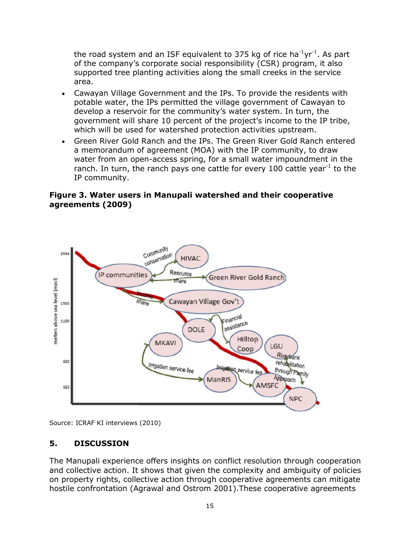the road system and an ISF equivalent to 375 kg of rice ha<sup>-1</sup>yr<sup>-1</sup>. As part of the company's corporate social responsibility (CSR) program, it also supported tree planting activities along the small creeks in the service area.

- Cawayan Village Government and the IPs. To provide the residents with potable water, the IPs permitted the village government of Cawayan to develop a reservoir for the community's water system. In turn, the government will share 10 percent of the project's income to the IP tribe, which will be used for watershed protection activities upstream.
- Green River Gold Ranch and the IPs. The Green River Gold Ranch entered a memorandum of agreement (MOA) with the IP community, to draw water from an open-access spring, for a small water impoundment in the ranch. In turn, the ranch pays one cattle for every 100 cattle year<sup>-1</sup> to the IP community.

### **Figure 3. Water users in Manupali watershed and their cooperative agreements (2009)**



<span id="page-19-0"></span>Source: ICRAF KI interviews (2010)

## **5. DISCUSSION**

The Manupali experience offers insights on conflict resolution through cooperation and collective action. It shows that given the complexity and ambiguity of policies on property rights, collective action through cooperative agreements can mitigate hostile confrontation (Agrawal and Ostrom 2001).These cooperative agreements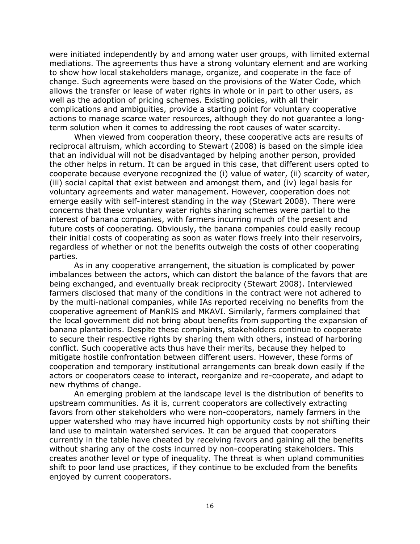were initiated independently by and among water user groups, with limited external mediations. The agreements thus have a strong voluntary element and are working to show how local stakeholders manage, organize, and cooperate in the face of change. Such agreements were based on the provisions of the Water Code, which allows the transfer or lease of water rights in whole or in part to other users, as well as the adoption of pricing schemes. Existing policies, with all their complications and ambiguities, provide a starting point for voluntary cooperative actions to manage scarce water resources, although they do not guarantee a longterm solution when it comes to addressing the root causes of water scarcity.

When viewed from cooperation theory, these cooperative acts are results of reciprocal altruism, which according to Stewart (2008) is based on the simple idea that an individual will not be disadvantaged by helping another person, provided the other helps in return. It can be argued in this case, that different users opted to cooperate because everyone recognized the (i) value of water, (ii) scarcity of water, (iii) social capital that exist between and amongst them, and (iv) legal basis for voluntary agreements and water management. However, cooperation does not emerge easily with self-interest standing in the way (Stewart 2008). There were concerns that these voluntary water rights sharing schemes were partial to the interest of banana companies, with farmers incurring much of the present and future costs of cooperating. Obviously, the banana companies could easily recoup their initial costs of cooperating as soon as water flows freely into their reservoirs, regardless of whether or not the benefits outweigh the costs of other cooperating parties.

As in any cooperative arrangement, the situation is complicated by power imbalances between the actors, which can distort the balance of the favors that are being exchanged, and eventually break reciprocity (Stewart 2008). Interviewed farmers disclosed that many of the conditions in the contract were not adhered to by the multi-national companies, while IAs reported receiving no benefits from the cooperative agreement of ManRIS and MKAVI. Similarly, farmers complained that the local government did not bring about benefits from supporting the expansion of banana plantations. Despite these complaints, stakeholders continue to cooperate to secure their respective rights by sharing them with others, instead of harboring conflict. Such cooperative acts thus have their merits, because they helped to mitigate hostile confrontation between different users. However, these forms of cooperation and temporary institutional arrangements can break down easily if the actors or cooperators cease to interact, reorganize and re-cooperate, and adapt to new rhythms of change.

An emerging problem at the landscape level is the distribution of benefits to upstream communities. As it is, current cooperators are collectively extracting favors from other stakeholders who were non-cooperators, namely farmers in the upper watershed who may have incurred high opportunity costs by not shifting their land use to maintain watershed services. It can be argued that cooperators currently in the table have cheated by receiving favors and gaining all the benefits without sharing any of the costs incurred by non-cooperating stakeholders. This creates another level or type of inequality. The threat is when upland communities shift to poor land use practices, if they continue to be excluded from the benefits enjoyed by current cooperators.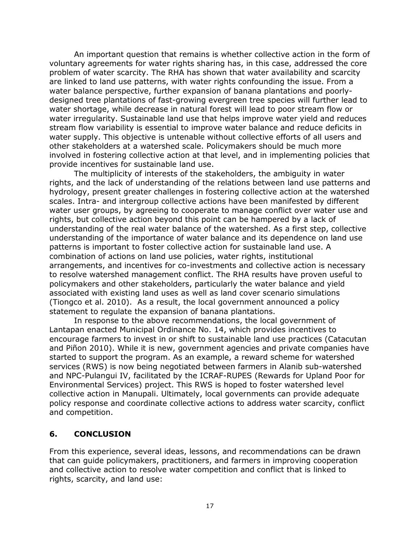An important question that remains is whether collective action in the form of voluntary agreements for water rights sharing has, in this case, addressed the core problem of water scarcity. The RHA has shown that water availability and scarcity are linked to land use patterns, with water rights confounding the issue. From a water balance perspective, further expansion of banana plantations and poorlydesigned tree plantations of fast-growing evergreen tree species will further lead to water shortage, while decrease in natural forest will lead to poor stream flow or water irregularity. Sustainable land use that helps improve water yield and reduces stream flow variability is essential to improve water balance and reduce deficits in water supply. This objective is untenable without collective efforts of all users and other stakeholders at a watershed scale. Policymakers should be much more involved in fostering collective action at that level, and in implementing policies that provide incentives for sustainable land use.

The multiplicity of interests of the stakeholders, the ambiguity in water rights, and the lack of understanding of the relations between land use patterns and hydrology, present greater challenges in fostering collective action at the watershed scales. Intra- and intergroup collective actions have been manifested by different water user groups, by agreeing to cooperate to manage conflict over water use and rights, but collective action beyond this point can be hampered by a lack of understanding of the real water balance of the watershed. As a first step, collective understanding of the importance of water balance and its dependence on land use patterns is important to foster collective action for sustainable land use. A combination of actions on land use policies, water rights, institutional arrangements, and incentives for co-investments and collective action is necessary to resolve watershed management conflict. The RHA results have proven useful to policymakers and other stakeholders, particularly the water balance and yield associated with existing land uses as well as land cover scenario simulations (Tiongco et al. 2010). As a result, the local government announced a policy statement to regulate the expansion of banana plantations.

In response to the above recommendations, the local government of Lantapan enacted Municipal Ordinance No. 14, which provides incentives to encourage farmers to invest in or shift to sustainable land use practices (Catacutan and Piñon 2010). While it is new, government agencies and private companies have started to support the program. As an example, a reward scheme for watershed services (RWS) is now being negotiated between farmers in Alanib sub-watershed and NPC-Pulangui IV, facilitated by the ICRAF-RUPES (Rewards for Upland Poor for Environmental Services) project. This RWS is hoped to foster watershed level collective action in Manupali. Ultimately, local governments can provide adequate policy response and coordinate collective actions to address water scarcity, conflict and competition.

### <span id="page-21-0"></span>**6. CONCLUSION**

From this experience, several ideas, lessons, and recommendations can be drawn that can guide policymakers, practitioners, and farmers in improving cooperation and collective action to resolve water competition and conflict that is linked to rights, scarcity, and land use: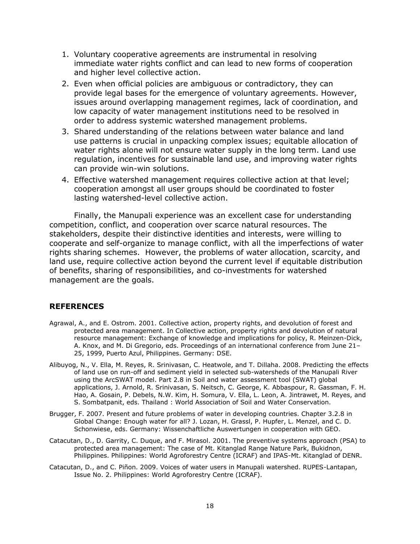- 1. Voluntary cooperative agreements are instrumental in resolving immediate water rights conflict and can lead to new forms of cooperation and higher level collective action.
- 2. Even when official policies are ambiguous or contradictory, they can provide legal bases for the emergence of voluntary agreements. However, issues around overlapping management regimes, lack of coordination, and low capacity of water management institutions need to be resolved in order to address systemic watershed management problems.
- 3. Shared understanding of the relations between water balance and land use patterns is crucial in unpacking complex issues; equitable allocation of water rights alone will not ensure water supply in the long term. Land use regulation, incentives for sustainable land use, and improving water rights can provide win-win solutions.
- 4. Effective watershed management requires collective action at that level; cooperation amongst all user groups should be coordinated to foster lasting watershed-level collective action.

Finally, the Manupali experience was an excellent case for understanding competition, conflict, and cooperation over scarce natural resources. The stakeholders, despite their distinctive identities and interests, were willing to cooperate and self-organize to manage conflict, with all the imperfections of water rights sharing schemes. However, the problems of water allocation, scarcity, and land use, require collective action beyond the current level if equitable distribution of benefits, sharing of responsibilities, and co-investments for watershed management are the goals.

#### <span id="page-22-0"></span>**REFERENCES**

- Agrawal, A., and E. Ostrom. 2001. Collective action, property rights, and devolution of forest and protected area management. In Collective action, property rights and devolution of natural resource management: Exchange of knowledge and implications for policy, R. Meinzen-Dick, A. Knox, and M. Di Gregorio, eds. Proceedings of an international conference from June 21– 25, 1999, Puerto Azul, Philippines. Germany: DSE.
- Alibuyog, N., V. Ella, M. Reyes, R. Srinivasan, C. Heatwole, and T. Dillaha. 2008. Predicting the effects of land use on run-off and sediment yield in selected sub-watersheds of the Manupali River using the ArcSWAT model. Part 2.8 in Soil and water assessment tool (SWAT) global applications, J. Arnold, R. Srinivasan, S. Neitsch, C. George, K. Abbaspour, R. Gassman, F. H. Hao, A. Gosain, P. Debels, N.W. Kim, H. Somura, V. Ella, L. Leon, A. Jintrawet, M. Reyes, and S. Sombatpanit, eds. Thailand : World Association of Soil and Water Conservation.
- Brugger, F. 2007. Present and future problems of water in developing countries. Chapter 3.2.8 in Global Change: Enough water for all? J. Lozan, H. Grassl, P. Hupfer, L. Menzel, and C. D. Schonwiese, eds. Germany: Wissenchaftliche Auswertungen in cooperation with GEO.
- Catacutan, D., D. Garrity, C. Duque, and F. Mirasol. 2001. The preventive systems approach (PSA) to protected area management: The case of Mt. Kitanglad Range Nature Park, Bukidnon, Philippines. Philippines: World Agroforestry Centre (ICRAF) and IPAS-Mt. Kitanglad of DENR.
- Catacutan, D., and C. Piñon. 2009. Voices of water users in Manupali watershed. RUPES-Lantapan, Issue No. 2. Philippines: World Agroforestry Centre (ICRAF).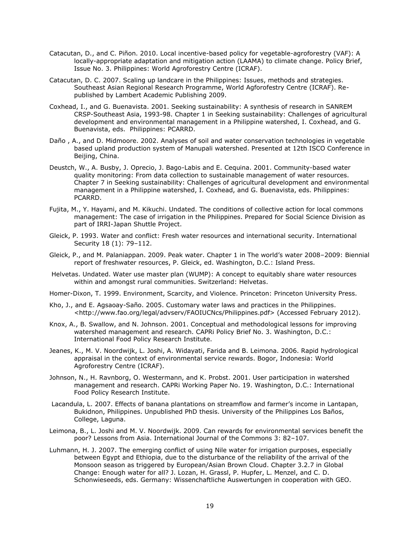- Catacutan, D., and C. Piñon. 2010. Local incentive-based policy for vegetable-agroforestry (VAF): A locally-appropriate adaptation and mitigation action (LAAMA) to climate change. Policy Brief, Issue No. 3. Philippines: World Agroforestry Centre (ICRAF).
- Catacutan, D. C. 2007. Scaling up landcare in the Philippines: Issues, methods and strategies. Southeast Asian Regional Research Programme, World Agforofestry Centre (ICRAF). Republished by Lambert Academic Publishing 2009.
- Coxhead, I., and G. Buenavista. 2001. Seeking sustainability: A synthesis of research in SANREM CRSP-Southeast Asia, 1993-98. Chapter 1 in Seeking sustainability: Challenges of agricultural development and environmental management in a Philippine watershed, I. Coxhead, and G. Buenavista, eds. Philippines: PCARRD.
- Daño , A., and D. Midmoore. 2002. Analyses of soil and water conservation technologies in vegetable based upland production system of Manupali watershed. Presented at 12th ISCO Conference in Beijing, China.
- Deustch, W., A. Busby, J. Oprecio, J. Bago-Labis and E. Cequina. 2001. Community-based water quality monitoring: From data collection to sustainable management of water resources. Chapter 7 in Seeking sustainability: Challenges of agricultural development and environmental management in a Philippine watershed, I. Coxhead, and G. Buenavista, eds. Philippines: PCARRD.
- Fujita, M., Y. Hayami, and M. Kikuchi. Undated. The conditions of collective action for local commons management: The case of irrigation in the Philippines. Prepared for Social Science Division as part of IRRI-Japan Shuttle Project.
- Gleick, P. 1993. Water and conflict: Fresh water resources and international security. International Security 18 (1): 79–112.
- Gleick, P., and M. Palaniappan. 2009. Peak water. Chapter 1 in The world's water 2008–2009: Biennial report of freshwater resources, P. Gleick, ed. Washington, D.C.: Island Press.
- Helvetas. Undated. Water use master plan (WUMP): A concept to equitably share water resources within and amongst rural communities. Switzerland: Helvetas.
- Homer-Dixon, T. 1999. Environment, Scarcity, and Violence. Princeton: Princeton University Press.
- Kho, J., and E. Agsaoay-Saño. 2005. Customary water laws and practices in the Philippines. <http://www.fao.org/legal/advserv/FAOIUCNcs/Philippines.pdf> (Accessed February 2012).
- Knox, A., B. Swallow, and N. Johnson. 2001. Conceptual and methodological lessons for improving watershed management and research. CAPRi Policy Brief No. 3. Washington, D.C.: International Food Policy Research Institute.
- Jeanes, K., M. V. Noordwijk, L. Joshi, A. Widayati, Farida and B. Leimona. 2006. Rapid hydrological appraisal in the context of environmental service rewards. Bogor, Indonesia: World Agroforestry Centre (ICRAF).
- Johnson, N., H. Ravnborg, O. Westermann, and K. Probst. 2001. User participation in watershed management and research. CAPRi Working Paper No. 19. Washington, D.C.: International Food Policy Research Institute.
- Lacandula, L. 2007. Effects of banana plantations on streamflow and farmer's income in Lantapan, Bukidnon, Philippines. Unpublished PhD thesis. University of the Philippines Los Baños, College, Laguna.
- Leimona, B., L. Joshi and M. V. Noordwijk. 2009. Can rewards for environmental services benefit the poor? Lessons from Asia. International Journal of the Commons 3: 82–107.
- Luhmann, H. J. 2007. The emerging conflict of using Nile water for irrigation purposes, especially between Egypt and Ethiopia, due to the disturbance of the reliability of the arrival of the Monsoon season as triggered by European/Asian Brown Cloud. Chapter 3.2.7 in Global Change: Enough water for all? J. Lozan, H. Grassl, P. Hupfer, L. Menzel, and C. D. Schonwieseeds, eds. Germany: Wissenchaftliche Auswertungen in cooperation with GEO.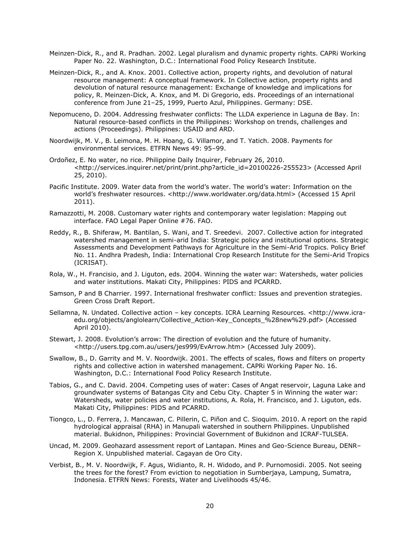- Meinzen-Dick, R., and R. Pradhan. 2002. Legal pluralism and dynamic property rights. CAPRi Working Paper No. 22. Washington, D.C.: International Food Policy Research Institute.
- Meinzen-Dick, R., and A. Knox. 2001. Collective action, property rights, and devolution of natural resource management: A conceptual framework. In Collective action, property rights and devolution of natural resource management: Exchange of knowledge and implications for policy, R. Meinzen-Dick, A. Knox, and M. Di Gregorio, eds. Proceedings of an international conference from June 21–25, 1999, Puerto Azul, Philippines. Germany: DSE.
- Nepomuceno, D. 2004. Addressing freshwater conflicts: The LLDA experience in Laguna de Bay. In: Natural resource-based conflicts in the Philippines: Workshop on trends, challenges and actions (Proceedings). Philippines: USAID and ARD.
- Noordwijk, M. V., B. Leimona, M. H. Hoang, G. Villamor, and T. Yatich. 2008. Payments for environmental services. ETFRN News 49: 95–99.
- Ordoñez, E. No water, no rice. Philippine Daily Inquirer, February 26, 2010. <http://services.inquirer.net/print/print.php?article\_id=20100226-255523> (Accessed April 25, 2010).
- Pacific Institute. 2009. Water data from the world's water. The world's water: Information on the world's freshwater resources. <http://www.worldwater.org/data.html> (Accessed 15 April 2011).
- Ramazzotti, M. 2008. Customary water rights and contemporary water legislation: Mapping out interface. FAO Legal Paper Online #76. FAO.
- Reddy, R., B. Shiferaw, M. Bantilan, S. Wani, and T. Sreedevi. 2007. Collective action for integrated watershed management in semi-arid India: Strategic policy and institutional options. Strategic Assessments and Development Pathways for Agriculture in the Semi-Arid Tropics. Policy Brief No. 11. Andhra Pradesh, India: International Crop Research Institute for the Semi-Arid Tropics (ICRISAT).
- Rola, W., H. Francisio, and J. Liguton, eds. 2004. Winning the water war: Watersheds, water policies and water institutions. Makati City, Philippines: PIDS and PCARRD.
- Samson, P and B Charrier. 1997. International freshwater conflict: Issues and prevention strategies. Green Cross Draft Report.
- Sellamna, N. Undated. Collective action key concepts. ICRA Learning Resources. <http://www.icraedu.org/objects/anglolearn/Collective\_Action-Key\_Concepts\_%28new%29.pdf> (Accessed April 2010).
- Stewart, J. 2008. Evolution's arrow: The direction of evolution and the future of humanity. <http://users.tpg.com.au/users/jes999/EvArrow.htm> (Accessed July 2009).
- Swallow, B., D. Garrity and M. V. Noordwijk. 2001. The effects of scales, flows and filters on property rights and collective action in watershed management. CAPRi Working Paper No. 16. Washington, D.C.: International Food Policy Research Institute.
- Tabios, G., and C. David. 2004. Competing uses of water: Cases of Angat reservoir, Laguna Lake and groundwater systems of Batangas City and Cebu City. Chapter 5 in Winning the water war: Watersheds, water policies and water institutions, A. Rola, H. Francisco, and J. Liguton, eds. Makati City, Philippines: PIDS and PCARRD.
- Tiongco, L., D. Ferrera, J. Mancawan, C. Pillerin, C. Piñon and C. Sioquim. 2010. A report on the rapid hydrological appraisal (RHA) in Manupali watershed in southern Philippines. Unpublished material. Bukidnon, Philippines: Provincial Government of Bukidnon and ICRAF-TULSEA.
- Uncad, M. 2009. Geohazard assessment report of Lantapan. Mines and Geo-Science Bureau, DENR– Region X. Unpublished material. Cagayan de Oro City.
- Verbist, B., M. V. Noordwijk, F. Agus, Widianto, R. H. Widodo, and P. Purnomosidi. 2005. Not seeing the trees for the forest? From eviction to negotiation in Sumberjaya, Lampung, Sumatra, Indonesia. ETFRN News: Forests, Water and Livelihoods 45/46.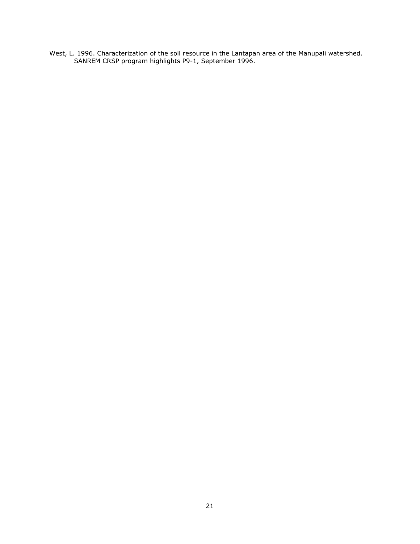West, L. 1996. Characterization of the soil resource in the Lantapan area of the Manupali watershed. SANREM CRSP program highlights P9-1, September 1996.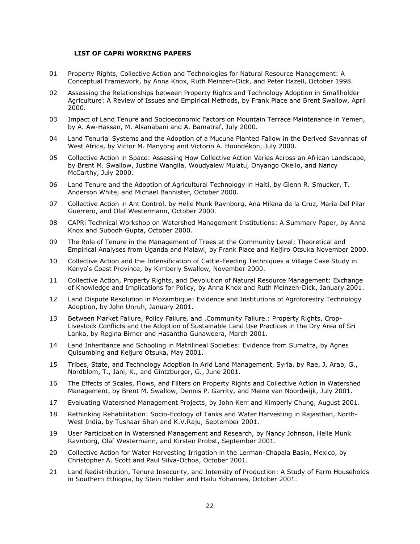#### **LIST OF CAPRi WORKING PAPERS**

- 01 Property Rights, Collective Action and Technologies for Natural Resource Management: A Conceptual Framework, by Anna Knox, Ruth Meinzen-Dick, and Peter Hazell, October 1998.
- 02 Assessing the Relationships between Property Rights and Technology Adoption in Smallholder Agriculture: A Review of Issues and Empirical Methods, by Frank Place and Brent Swallow, April 2000.
- 03 Impact of Land Tenure and Socioeconomic Factors on Mountain Terrace Maintenance in Yemen, by A. Aw-Hassan, M. Alsanabani and A. Bamatraf, July 2000.
- 04 Land Tenurial Systems and the Adoption of a Mucuna Planted Fallow in the Derived Savannas of West Africa, by Victor M. Manyong and Victorin A. Houndékon, July 2000.
- 05 Collective Action in Space: Assessing How Collective Action Varies Across an African Landscape, by Brent M. Swallow, Justine Wangila, Woudyalew Mulatu, Onyango Okello, and Nancy McCarthy, July 2000.
- 06 Land Tenure and the Adoption of Agricultural Technology in Haiti, by Glenn R. Smucker, T. Anderson White, and Michael Bannister, October 2000.
- 07 Collective Action in Ant Control, by Helle Munk Ravnborg, Ana Milena de la Cruz, María Del Pilar Guerrero, and Olaf Westermann, October 2000.
- 08 CAPRi Technical Workshop on Watershed Management Institutions: A Summary Paper, by Anna Knox and Subodh Gupta, October 2000.
- 09 The Role of Tenure in the Management of Trees at the Community Level: Theoretical and Empirical Analyses from Uganda and Malawi, by Frank Place and Keijiro Otsuka November 2000.
- 10 Collective Action and the Intensification of Cattle-Feeding Techniques a Village Case Study in Kenya's Coast Province, by Kimberly Swallow, November 2000.
- 11 Collective Action, Property Rights, and Devolution of Natural Resource Management: Exchange of Knowledge and Implications for Policy, by Anna Knox and Ruth Meinzen-Dick, January 2001.
- 12 Land Dispute Resolution in Mozambique: Evidence and Institutions of Agroforestry Technology Adoption, by John Unruh, January 2001.
- 13 Between Market Failure, Policy Failure, and .Community Failure.: Property Rights, Crop-Livestock Conflicts and the Adoption of Sustainable Land Use Practices in the Dry Area of Sri Lanka, by Regina Birner and Hasantha Gunaweera, March 2001.
- 14 Land Inheritance and Schooling in Matrilineal Societies: Evidence from Sumatra, by Agnes Quisumbing and Keijuro Otsuka, May 2001.
- 15 Tribes, State, and Technology Adoption in Arid Land Management, Syria, by Rae, J, Arab, G., Nordblom, T., Jani, K., and Gintzburger, G., June 2001.
- 16 The Effects of Scales, Flows, and Filters on Property Rights and Collective Action in Watershed Management, by Brent M. Swallow, Dennis P. Garrity, and Meine van Noordwijk, July 2001.
- 17 Evaluating Watershed Management Projects, by John Kerr and Kimberly Chung, August 2001.
- 18 Rethinking Rehabilitation: Socio-Ecology of Tanks and Water Harvesting in Rajasthan, North-West India, by Tushaar Shah and K.V.Raju, September 2001.
- 19 User Participation in Watershed Management and Research, by Nancy Johnson, Helle Munk Ravnborg, Olaf Westermann, and Kirsten Probst, September 2001.
- 20 Collective Action for Water Harvesting Irrigation in the Lerman-Chapala Basin, Mexico, by Christopher A. Scott and Paul Silva-Ochoa, October 2001.
- 21 Land Redistribution, Tenure Insecurity, and Intensity of Production: A Study of Farm Households in Southern Ethiopia, by Stein Holden and Hailu Yohannes, October 2001.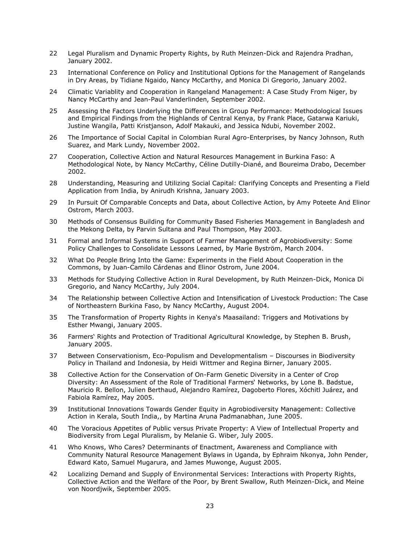- 22 Legal Pluralism and Dynamic Property Rights, by Ruth Meinzen-Dick and Rajendra Pradhan, January 2002.
- 23 International Conference on Policy and Institutional Options for the Management of Rangelands in Dry Areas, by Tidiane Ngaido, Nancy McCarthy, and Monica Di Gregorio, January 2002.
- 24 Climatic Variablity and Cooperation in Rangeland Management: A Case Study From Niger, by Nancy McCarthy and Jean-Paul Vanderlinden, September 2002.
- 25 Assessing the Factors Underlying the Differences in Group Performance: Methodological Issues and Empirical Findings from the Highlands of Central Kenya, by Frank Place, Gatarwa Kariuki, Justine Wangila, Patti Kristjanson, Adolf Makauki, and Jessica Ndubi, November 2002.
- 26 The Importance of Social Capital in Colombian Rural Agro-Enterprises, by Nancy Johnson, Ruth Suarez, and Mark Lundy, November 2002.
- 27 Cooperation, Collective Action and Natural Resources Management in Burkina Faso: A Methodological Note, by Nancy McCarthy, Céline Dutilly-Diané, and Boureima Drabo, December 2002.
- 28 Understanding, Measuring and Utilizing Social Capital: Clarifying Concepts and Presenting a Field Application from India, by Anirudh Krishna, January 2003.
- 29 In Pursuit Of Comparable Concepts and Data, about Collective Action, by Amy Poteete And Elinor Ostrom, March 2003.
- 30 Methods of Consensus Building for Community Based Fisheries Management in Bangladesh and the Mekong Delta, by Parvin Sultana and Paul Thompson, May 2003.
- 31 Formal and Informal Systems in Support of Farmer Management of Agrobiodiversity: Some Policy Challenges to Consolidate Lessons Learned, by Marie Byström, March 2004.
- 32 What Do People Bring Into the Game: Experiments in the Field About Cooperation in the Commons, by Juan-Camilo Cárdenas and Elinor Ostrom, June 2004.
- 33 Methods for Studying Collective Action in Rural Development, by Ruth Meinzen-Dick, Monica Di Gregorio, and Nancy McCarthy, July 2004.
- 34 The Relationship between Collective Action and Intensification of Livestock Production: The Case of Northeastern Burkina Faso, by Nancy McCarthy, August 2004.
- 35 The Transformation of Property Rights in Kenya's Maasailand: Triggers and Motivations by Esther Mwangi, January 2005.
- 36 Farmers' Rights and Protection of Traditional Agricultural Knowledge, by Stephen B. Brush, January 2005.
- 37 Between Conservationism, Eco-Populism and Developmentalism Discourses in Biodiversity Policy in Thailand and Indonesia, by Heidi Wittmer and Regina Birner, January 2005.
- 38 Collective Action for the Conservation of On-Farm Genetic Diversity in a Center of Crop Diversity: An Assessment of the Role of Traditional Farmers' Networks, by Lone B. Badstue, Mauricio R. Bellon, Julien Berthaud, Alejandro Ramírez, Dagoberto Flores, Xóchitl Juárez, and Fabiola Ramírez, May 2005.
- 39 Institutional Innovations Towards Gender Equity in Agrobiodiversity Management: Collective Action in Kerala, South India,, by Martina Aruna Padmanabhan, June 2005.
- 40 The Voracious Appetites of Public versus Private Property: A View of Intellectual Property and Biodiversity from Legal Pluralism, by Melanie G. Wiber, July 2005.
- 41 Who Knows, Who Cares? Determinants of Enactment, Awareness and Compliance with Community Natural Resource Management Bylaws in Uganda, by Ephraim Nkonya, John Pender, Edward Kato, Samuel Mugarura, and James Muwonge, August 2005.
- 42 Localizing Demand and Supply of Environmental Services: Interactions with Property Rights, Collective Action and the Welfare of the Poor, by Brent Swallow, Ruth Meinzen-Dick, and Meine von Noordjwik, September 2005.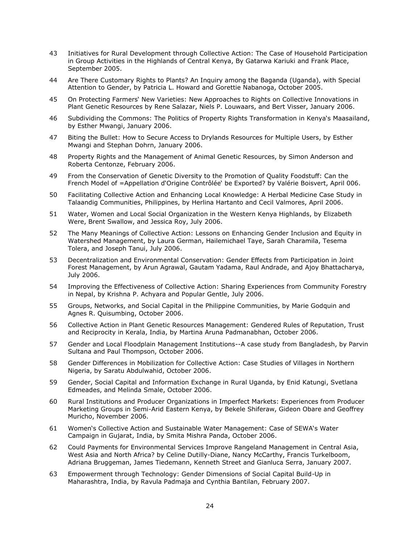- 43 Initiatives for Rural Development through Collective Action: The Case of Household Participation in Group Activities in the Highlands of Central Kenya, By Gatarwa Kariuki and Frank Place, September 2005.
- 44 Are There Customary Rights to Plants? An Inquiry among the Baganda (Uganda), with Special Attention to Gender, by Patricia L. Howard and Gorettie Nabanoga, October 2005.
- 45 On Protecting Farmers' New Varieties: New Approaches to Rights on Collective Innovations in Plant Genetic Resources by Rene Salazar, Niels P. Louwaars, and Bert Visser, January 2006.
- 46 Subdividing the Commons: The Politics of Property Rights Transformation in Kenya's Maasailand, by Esther Mwangi, January 2006.
- 47 Biting the Bullet: How to Secure Access to Drylands Resources for Multiple Users, by Esther Mwangi and Stephan Dohrn, January 2006.
- 48 Property Rights and the Management of Animal Genetic Resources, by Simon Anderson and Roberta Centonze, February 2006.
- 49 From the Conservation of Genetic Diversity to the Promotion of Quality Foodstuff: Can the French Model of =Appellation d'Origine Contrôlée' be Exported? by Valérie Boisvert, April 006.
- 50 Facilitating Collective Action and Enhancing Local Knowledge: A Herbal Medicine Case Study in Talaandig Communities, Philippines, by Herlina Hartanto and Cecil Valmores, April 2006.
- 51 Water, Women and Local Social Organization in the Western Kenya Highlands, by Elizabeth Were, Brent Swallow, and Jessica Roy, July 2006.
- 52 The Many Meanings of Collective Action: Lessons on Enhancing Gender Inclusion and Equity in Watershed Management, by Laura German, Hailemichael Taye, Sarah Charamila, Tesema Tolera, and Joseph Tanui, July 2006.
- 53 Decentralization and Environmental Conservation: Gender Effects from Participation in Joint Forest Management, by Arun Agrawal, Gautam Yadama, Raul Andrade, and Ajoy Bhattacharya, July 2006.
- 54 Improving the Effectiveness of Collective Action: Sharing Experiences from Community Forestry in Nepal, by Krishna P. Achyara and Popular Gentle, July 2006.
- 55 Groups, Networks, and Social Capital in the Philippine Communities, by Marie Godquin and Agnes R. Quisumbing, October 2006.
- 56 Collective Action in Plant Genetic Resources Management: Gendered Rules of Reputation, Trust and Reciprocity in Kerala, India, by Martina Aruna Padmanabhan, October 2006.
- 57 Gender and Local Floodplain Management Institutions--A case study from Bangladesh, by Parvin Sultana and Paul Thompson, October 2006.
- 58 Gender Differences in Mobilization for Collective Action: Case Studies of Villages in Northern Nigeria, by Saratu Abdulwahid, October 2006.
- 59 Gender, Social Capital and Information Exchange in Rural Uganda, by Enid Katungi, Svetlana Edmeades, and Melinda Smale, October 2006.
- 60 Rural Institutions and Producer Organizations in Imperfect Markets: Experiences from Producer Marketing Groups in Semi-Arid Eastern Kenya, by Bekele Shiferaw, Gideon Obare and Geoffrey Muricho, November 2006.
- 61 Women's Collective Action and Sustainable Water Management: Case of SEWA's Water Campaign in Gujarat, India, by Smita Mishra Panda, October 2006.
- 62 Could Payments for Environmental Services Improve Rangeland Management in Central Asia, West Asia and North Africa? by Celine Dutilly-Diane, Nancy McCarthy, Francis Turkelboom, Adriana Bruggeman, James Tiedemann, Kenneth Street and Gianluca Serra, January 2007.
- 63 Empowerment through Technology: Gender Dimensions of Social Capital Build-Up in Maharashtra, India, by Ravula Padmaja and Cynthia Bantilan, February 2007.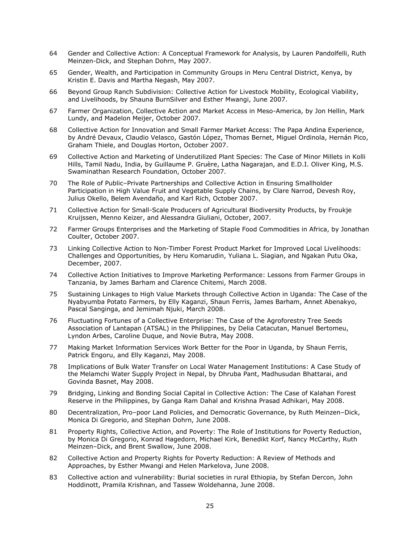- 64 Gender and Collective Action: A Conceptual Framework for Analysis, by Lauren Pandolfelli, Ruth Meinzen-Dick, and Stephan Dohrn, May 2007.
- 65 Gender, Wealth, and Participation in Community Groups in Meru Central District, Kenya, by Kristin E. Davis and Martha Negash, May 2007.
- 66 Beyond Group Ranch Subdivision: Collective Action for Livestock Mobility, Ecological Viability, and Livelihoods, by Shauna BurnSilver and Esther Mwangi, June 2007.
- 67 Farmer Organization, Collective Action and Market Access in Meso-America, by Jon Hellin, Mark Lundy, and Madelon Meijer, October 2007.
- 68 Collective Action for Innovation and Small Farmer Market Access: The Papa Andina Experience, by André Devaux, Claudio Velasco, Gastón López, Thomas Bernet, Miguel Ordinola, Hernán Pico, Graham Thiele, and Douglas Horton, October 2007.
- 69 Collective Action and Marketing of Underutilized Plant Species: The Case of Minor Millets in Kolli Hills, Tamil Nadu, India, by Guillaume P. Gruère, Latha Nagarajan, and E.D.I. Oliver King, M.S. Swaminathan Research Foundation, October 2007.
- 70 The Role of Public–Private Partnerships and Collective Action in Ensuring Smallholder Participation in High Value Fruit and Vegetable Supply Chains, by Clare Narrod, Devesh Roy, Julius Okello, Belem Avendaño, and Karl Rich, October 2007.
- 71 Collective Action for Small-Scale Producers of Agricultural Biodiversity Products, by Froukje Kruijssen, Menno Keizer, and Alessandra Giuliani, October, 2007.
- 72 Farmer Groups Enterprises and the Marketing of Staple Food Commodities in Africa, by Jonathan Coulter, October 2007.
- 73 Linking Collective Action to Non-Timber Forest Product Market for Improved Local Livelihoods: Challenges and Opportunities, by Heru Komarudin, Yuliana L. Siagian, and Ngakan Putu Oka, December, 2007.
- 74 Collective Action Initiatives to Improve Marketing Performance: Lessons from Farmer Groups in Tanzania, by James Barham and Clarence Chitemi, March 2008.
- 75 Sustaining Linkages to High Value Markets through Collective Action in Uganda: The Case of the Nyabyumba Potato Farmers, by Elly Kaganzi, Shaun Ferris, James Barham, Annet Abenakyo, Pascal Sanginga, and Jemimah Njuki, March 2008.
- 76 Fluctuating Fortunes of a Collective Enterprise: The Case of the Agroforestry Tree Seeds Association of Lantapan (ATSAL) in the Philippines, by Delia Catacutan, Manuel Bertomeu, Lyndon Arbes, Caroline Duque, and Novie Butra, May 2008.
- 77 Making Market Information Services Work Better for the Poor in Uganda, by Shaun Ferris, Patrick Engoru, and Elly Kaganzi, May 2008.
- 78 Implications of Bulk Water Transfer on Local Water Management Institutions: A Case Study of the Melamchi Water Supply Project in Nepal, by Dhruba Pant, Madhusudan Bhattarai, and Govinda Basnet, May 2008.
- 79 Bridging, Linking and Bonding Social Capital in Collective Action: The Case of Kalahan Forest Reserve in the Philippines, by Ganga Ram Dahal and Krishna Prasad Adhikari, May 2008.
- 80 Decentralization, Pro–poor Land Policies, and Democratic Governance, by Ruth Meinzen–Dick, Monica Di Gregorio, and Stephan Dohrn, June 2008.
- 81 Property Rights, Collective Action, and Poverty: The Role of Institutions for Poverty Reduction, by Monica Di Gregorio, Konrad Hagedorn, Michael Kirk, Benedikt Korf, Nancy McCarthy, Ruth Meinzen–Dick, and Brent Swallow, June 2008.
- 82 Collective Action and Property Rights for Poverty Reduction: A Review of Methods and Approaches, by Esther Mwangi and Helen Markelova, June 2008.
- 83 Collective action and vulnerability: Burial societies in rural Ethiopia, by Stefan Dercon, John Hoddinott, Pramila Krishnan, and Tassew Woldehanna, June 2008.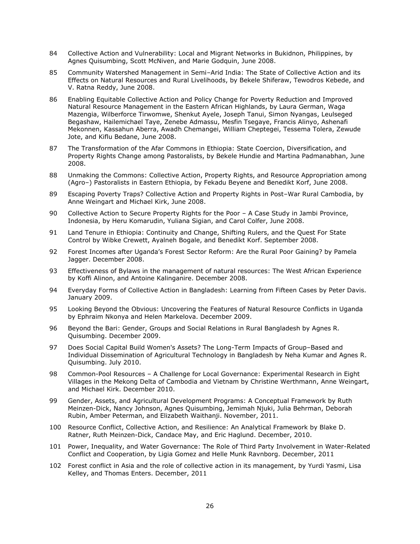- 84 Collective Action and Vulnerability: Local and Migrant Networks in Bukidnon, Philippines, by Agnes Quisumbing, Scott McNiven, and Marie Godquin, June 2008.
- 85 Community Watershed Management in Semi–Arid India: The State of Collective Action and its Effects on Natural Resources and Rural Livelihoods, by Bekele Shiferaw, Tewodros Kebede, and V. Ratna Reddy, June 2008.
- 86 Enabling Equitable Collective Action and Policy Change for Poverty Reduction and Improved Natural Resource Management in the Eastern African Highlands, by Laura German, Waga Mazengia, Wilberforce Tirwomwe, Shenkut Ayele, Joseph Tanui, Simon Nyangas, Leulseged Begashaw, Hailemichael Taye, Zenebe Admassu, Mesfin Tsegaye, Francis Alinyo, Ashenafi Mekonnen, Kassahun Aberra, Awadh Chemangei, William Cheptegei, Tessema Tolera, Zewude Jote, and Kiflu Bedane, June 2008.
- 87 The Transformation of the Afar Commons in Ethiopia: State Coercion, Diversification, and Property Rights Change among Pastoralists, by Bekele Hundie and Martina Padmanabhan, June 2008.
- 88 Unmaking the Commons: Collective Action, Property Rights, and Resource Appropriation among (Agro–) Pastoralists in Eastern Ethiopia, by Fekadu Beyene and Benedikt Korf, June 2008.
- 89 Escaping Poverty Traps? Collective Action and Property Rights in Post–War Rural Cambodia, by Anne Weingart and Michael Kirk, June 2008.
- 90 Collective Action to Secure Property Rights for the Poor A Case Study in Jambi Province, Indonesia, by Heru Komarudin, Yuliana Sigian, and Carol Colfer, June 2008.
- 91 Land Tenure in Ethiopia: Continuity and Change, Shifting Rulers, and the Quest For State Control by Wibke Crewett, Ayalneh Bogale, and Benedikt Korf. September 2008.
- 92 Forest Incomes after Uganda's Forest Sector Reform: Are the Rural Poor Gaining? by Pamela Jagger. December 2008.
- 93 Effectiveness of Bylaws in the management of natural resources: The West African Experience by Koffi Alinon, and Antoine Kalinganire. December 2008.
- 94 Everyday Forms of Collective Action in Bangladesh: Learning from Fifteen Cases by Peter Davis. January 2009.
- 95 Looking Beyond the Obvious: Uncovering the Features of Natural Resource Conflicts in Uganda by Ephraim Nkonya and Helen Markelova. December 2009.
- 96 Beyond the Bari: Gender, Groups and Social Relations in Rural Bangladesh by Agnes R. Quisumbing. December 2009.
- 97 Does Social Capital Build Women's Assets? The Long-Term Impacts of Group–Based and Individual Dissemination of Agricultural Technology in Bangladesh by Neha Kumar and Agnes R. Quisumbing. July 2010.
- 98 Common-Pool Resources A Challenge for Local Governance: Experimental Research in Eight Villages in the Mekong Delta of Cambodia and Vietnam by Christine Werthmann, Anne Weingart, and Michael Kirk. December 2010.
- 99 Gender, Assets, and Agricultural Development Programs: A Conceptual Framework by Ruth Meinzen-Dick, Nancy Johnson, Agnes Quisumbing, Jemimah Njuki, Julia Behrman, Deborah Rubin, Amber Peterman, and Elizabeth Waithanji. November, 2011.
- 100 Resource Conflict, Collective Action, and Resilience: An Analytical Framework by Blake D. Ratner, Ruth Meinzen-Dick, Candace May, and Eric Haglund. December, 2010.
- 101 Power, Inequality, and Water Governance: The Role of Third Party Involvement in Water-Related Conflict and Cooperation, by Ligia Gomez and Helle Munk Ravnborg. December, 2011
- 102 Forest conflict in Asia and the role of collective action in its management, by Yurdi Yasmi, Lisa Kelley, and Thomas Enters. December, 2011